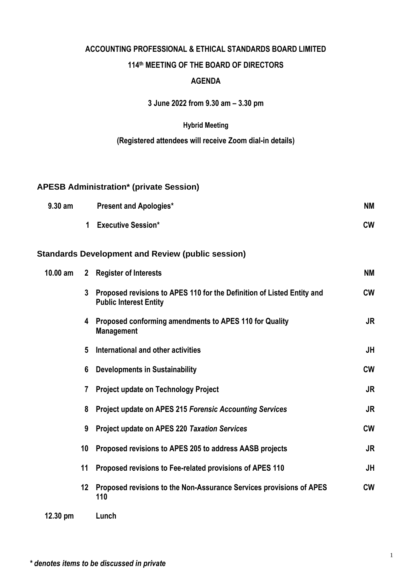# **ACCOUNTING PROFESSIONAL & ETHICAL STANDARDS BOARD LIMITED 114 th MEETING OF THE BOARD OF DIRECTORS AGENDA**

**3 June 2022 from 9.30 am – 3.30 pm**

#### **Hybrid Meeting**

#### **(Registered attendees will receive Zoom dial-in details)**

### **APESB Administration\* (private Session)**

| $9.30$ am | <b>Present and Apologies*</b> | <b>NM</b> |
|-----------|-------------------------------|-----------|
|           | <b>Executive Session*</b>     | <b>CW</b> |

### **Standards Development and Review (public session)**

| $10.00$ am         |         | 2 Register of Interests                                                                                 | ΝM        |
|--------------------|---------|---------------------------------------------------------------------------------------------------------|-----------|
|                    | 3       | Proposed revisions to APES 110 for the Definition of Listed Entity and<br><b>Public Interest Entity</b> | <b>CW</b> |
|                    | 4       | Proposed conforming amendments to APES 110 for Quality<br><b>Management</b>                             | JR        |
|                    | 5       | International and other activities                                                                      | JH        |
|                    | 6       | <b>Developments in Sustainability</b>                                                                   | <b>CW</b> |
|                    | 7       | <b>Project update on Technology Project</b>                                                             | <b>JR</b> |
|                    | 8       | <b>Project update on APES 215 Forensic Accounting Services</b>                                          | JR        |
|                    | 9       | <b>Project update on APES 220 Taxation Services</b>                                                     | <b>CW</b> |
|                    | 10      | Proposed revisions to APES 205 to address AASB projects                                                 | JR        |
|                    | 11      | Proposed revisions to Fee-related provisions of APES 110                                                | JH        |
|                    | $12 \,$ | Proposed revisions to the Non-Assurance Services provisions of APES<br>110                              | <b>CW</b> |
| $12.30 \text{ pm}$ |         | Lunch                                                                                                   |           |

*\* denotes items to be discussed in private*